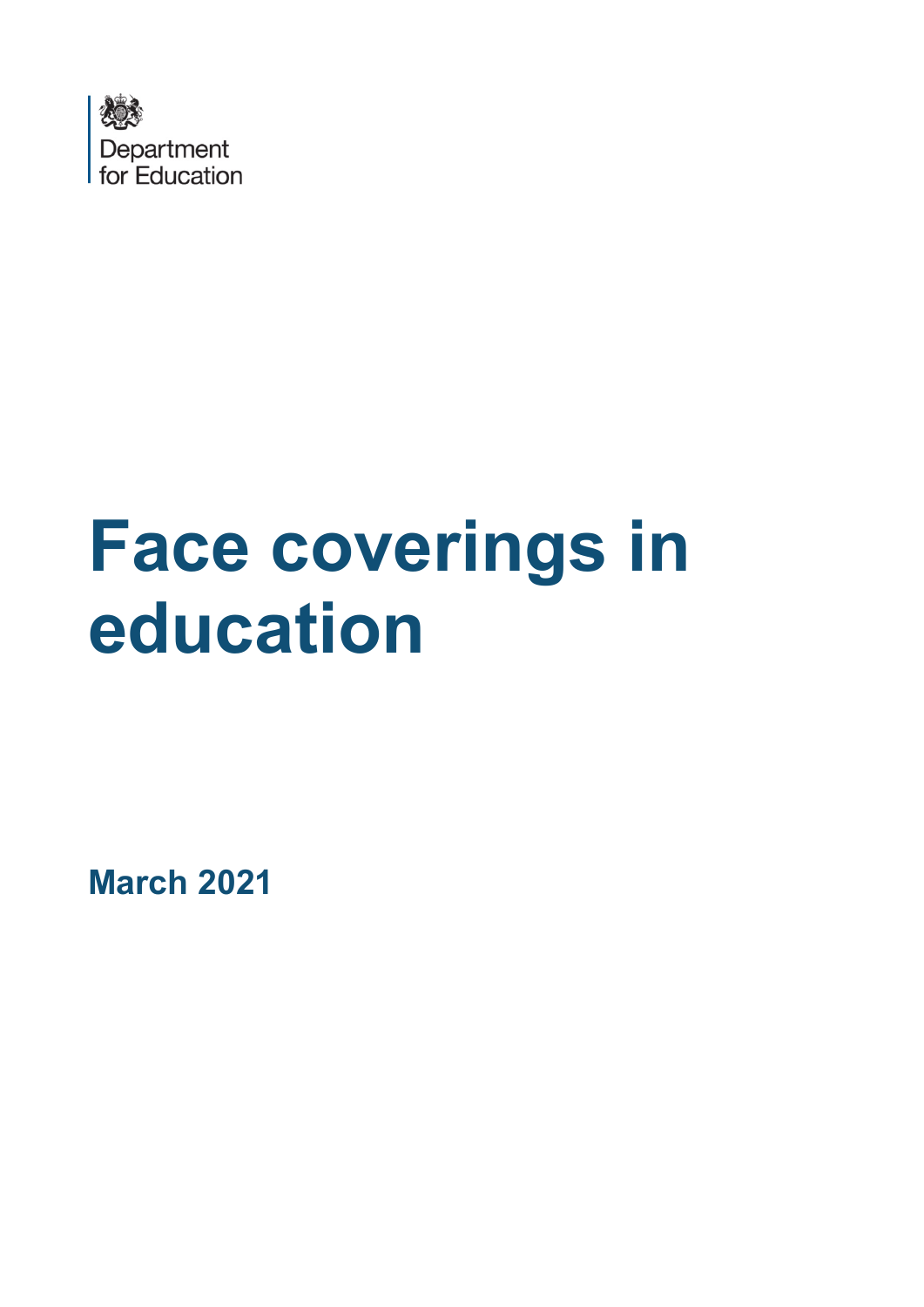

# **Face coverings in education**

**March 2021**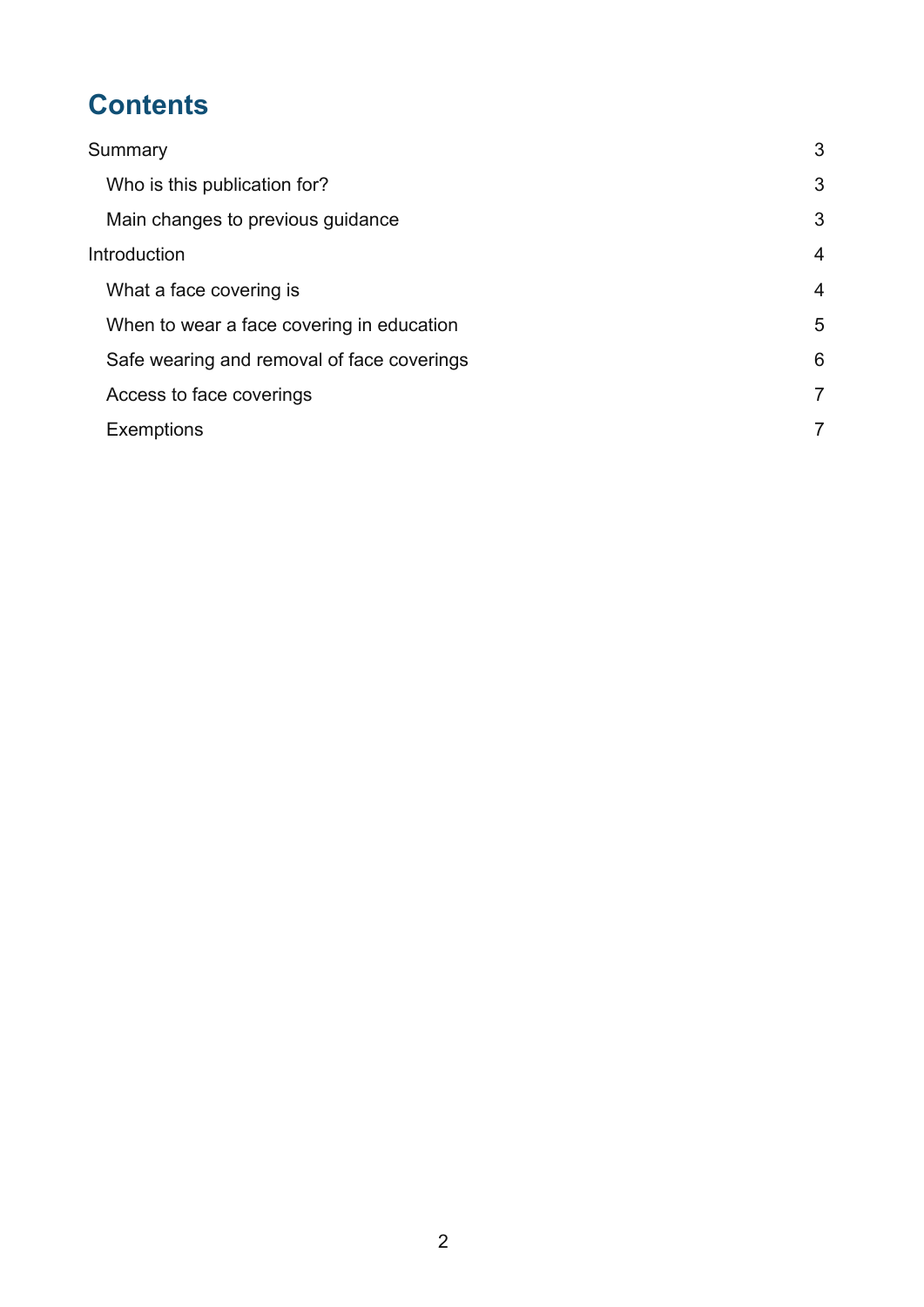# **Contents**

| Summary                                    | 3              |
|--------------------------------------------|----------------|
| Who is this publication for?               | 3              |
| Main changes to previous guidance          | 3              |
| Introduction                               | $\overline{4}$ |
| What a face covering is                    | $\overline{4}$ |
| When to wear a face covering in education  | 5              |
| Safe wearing and removal of face coverings | 6              |
| Access to face coverings                   | 7              |
| <b>Exemptions</b>                          | 7              |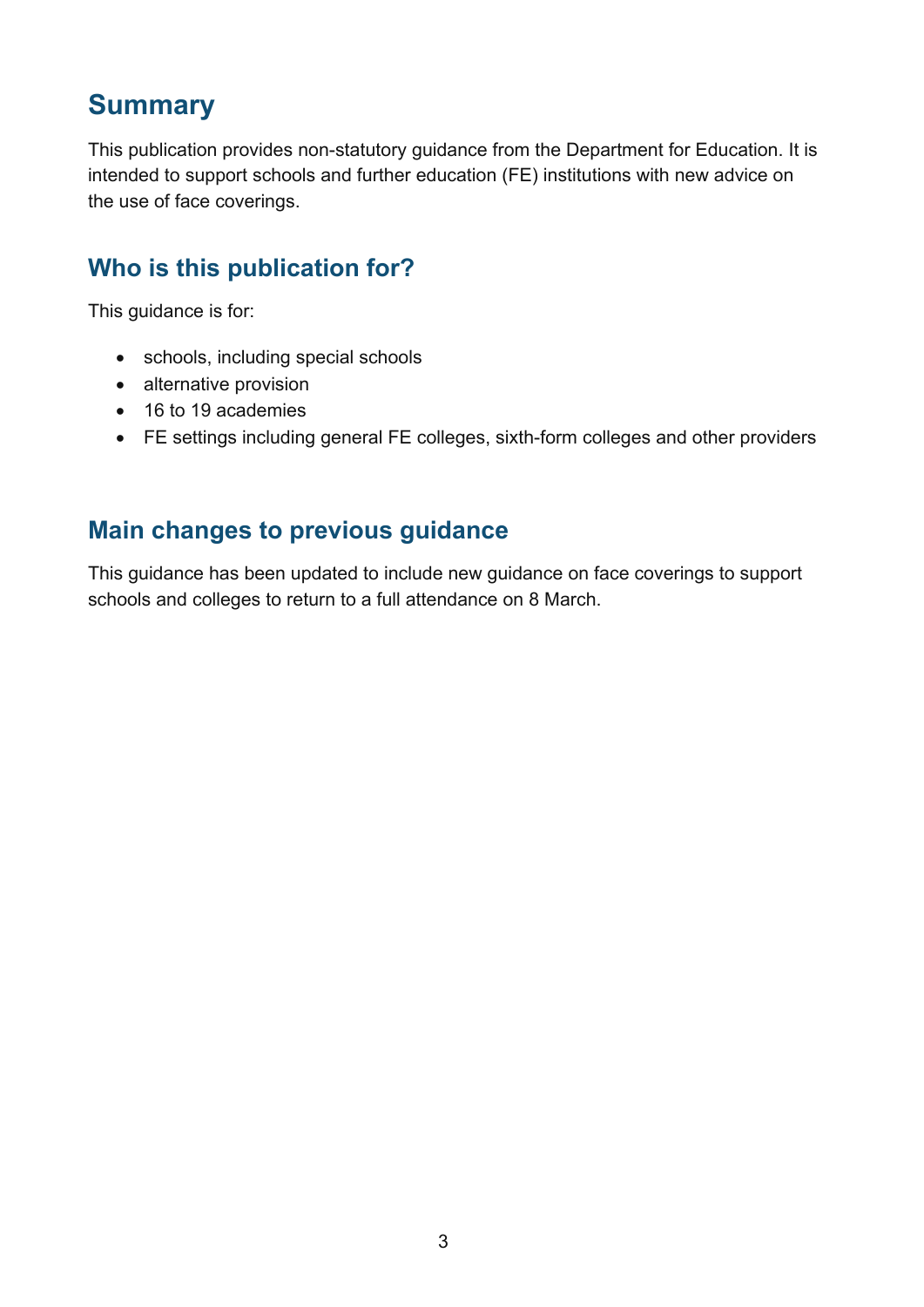## <span id="page-2-0"></span>**Summary**

This publication provides non-statutory guidance from the Department for Education. It is intended to support schools and further education (FE) institutions with new advice on the use of face coverings.

## <span id="page-2-1"></span>**Who is this publication for?**

This guidance is for:

- schools, including special schools
- alternative provision
- 16 to 19 academies
- FE settings including general FE colleges, sixth-form colleges and other providers

#### <span id="page-2-2"></span>**Main changes to previous guidance**

This guidance has been updated to include new guidance on face coverings to support schools and colleges to return to a full attendance on 8 March.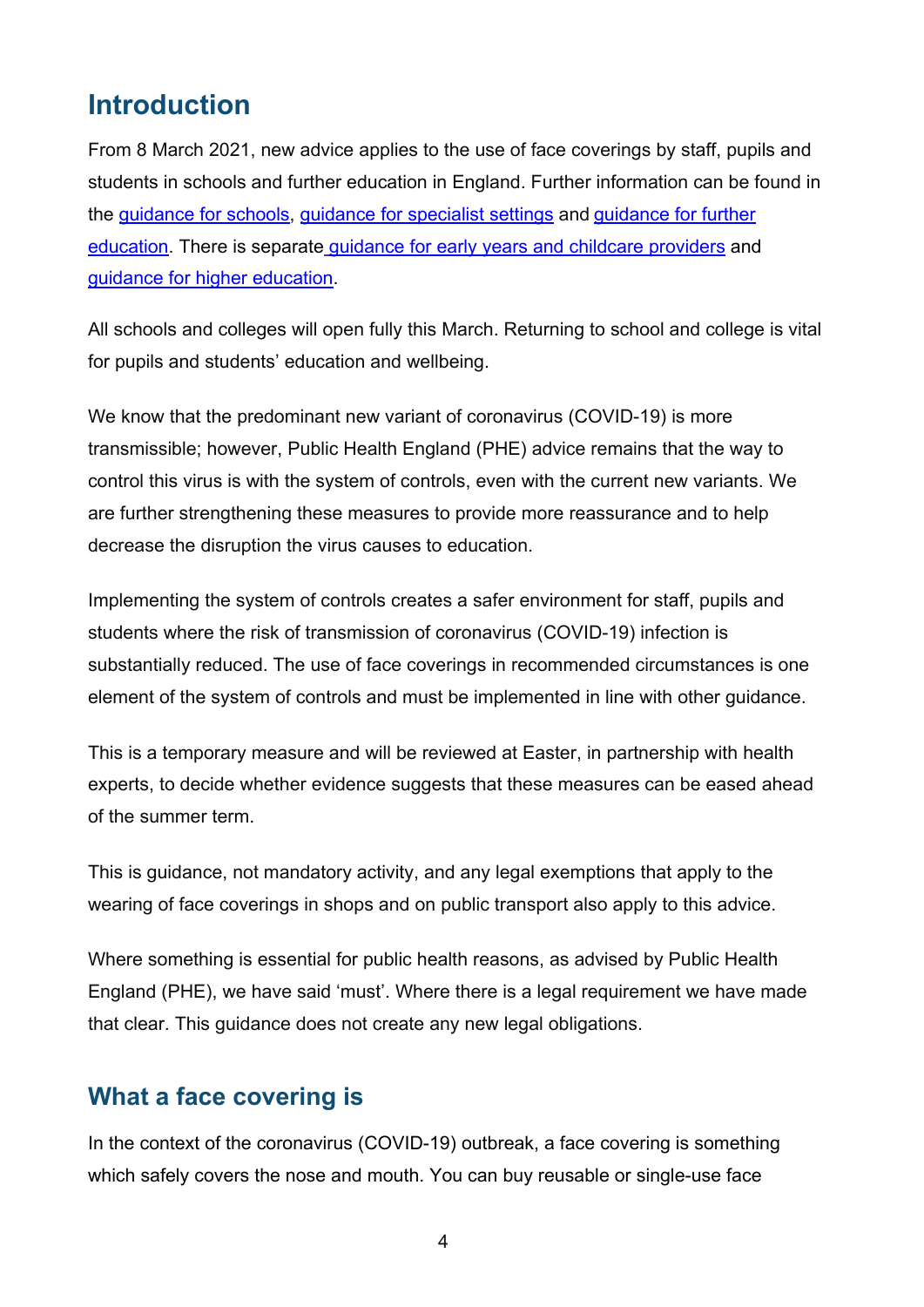## <span id="page-3-0"></span>**Introduction**

From 8 March 2021, new advice applies to the use of face coverings by staff, pupils and students in schools and further education in England. Further information can be found in the [guidance for schools,](https://www.gov.uk/government/publications/actions-for-schools-during-the-coronavirus-outbreak/guidance-for-full-opening-schools) [guidance for specialist settings](https://www.gov.uk/government/publications/guidance-for-full-opening-special-schools-and-other-specialist-settings/guidance-for-full-opening-special-schools-and-other-specialist-settings) and [guidance for further](https://www.gov.uk/government/publications/coronavirus-covid-19-maintaining-further-education-provision/what-fe-colleges-and-providers-will-need-to-do-from-the-start-of-the-2020-autumn-term)  [education.](https://www.gov.uk/government/publications/coronavirus-covid-19-maintaining-further-education-provision/what-fe-colleges-and-providers-will-need-to-do-from-the-start-of-the-2020-autumn-term) There is separate guidance for early years and childcare [providers](https://www.gov.uk/government/publications/coronavirus-covid-19-early-years-and-childcare-closures/coronavirus-covid-19-early-years-and-childcare-closures) and [guidance for higher education.](https://www.gov.uk/government/publications/higher-education-reopening-buildings-and-campuses/higher-education-reopening-buildings-and-campuses)

All schools and colleges will open fully this March. Returning to school and college is vital for pupils and students' education and wellbeing.

We know that the predominant new variant of coronavirus (COVID-19) is more transmissible; however, Public Health England (PHE) advice remains that the way to control this virus is with the system of controls, even with the current new variants. We are further strengthening these measures to provide more reassurance and to help decrease the disruption the virus causes to education.

Implementing the system of controls creates a safer environment for staff, pupils and students where the risk of transmission of coronavirus (COVID-19) infection is substantially reduced. The use of face coverings in recommended circumstances is one element of the system of controls and must be implemented in line with other guidance.

This is a temporary measure and will be reviewed at Easter, in partnership with health experts, to decide whether evidence suggests that these measures can be eased ahead of the summer term.

This is guidance, not mandatory activity, and any legal exemptions that apply to the wearing of face coverings in shops and on public transport also apply to this advice.

Where something is essential for public health reasons, as advised by Public Health England (PHE), we have said 'must'. Where there is a legal requirement we have made that clear. This guidance does not create any new legal obligations.

#### <span id="page-3-1"></span>**What a face covering is**

In the context of the coronavirus (COVID-19) outbreak, a face covering is something which safely covers the nose and mouth. You can buy reusable or single-use face

4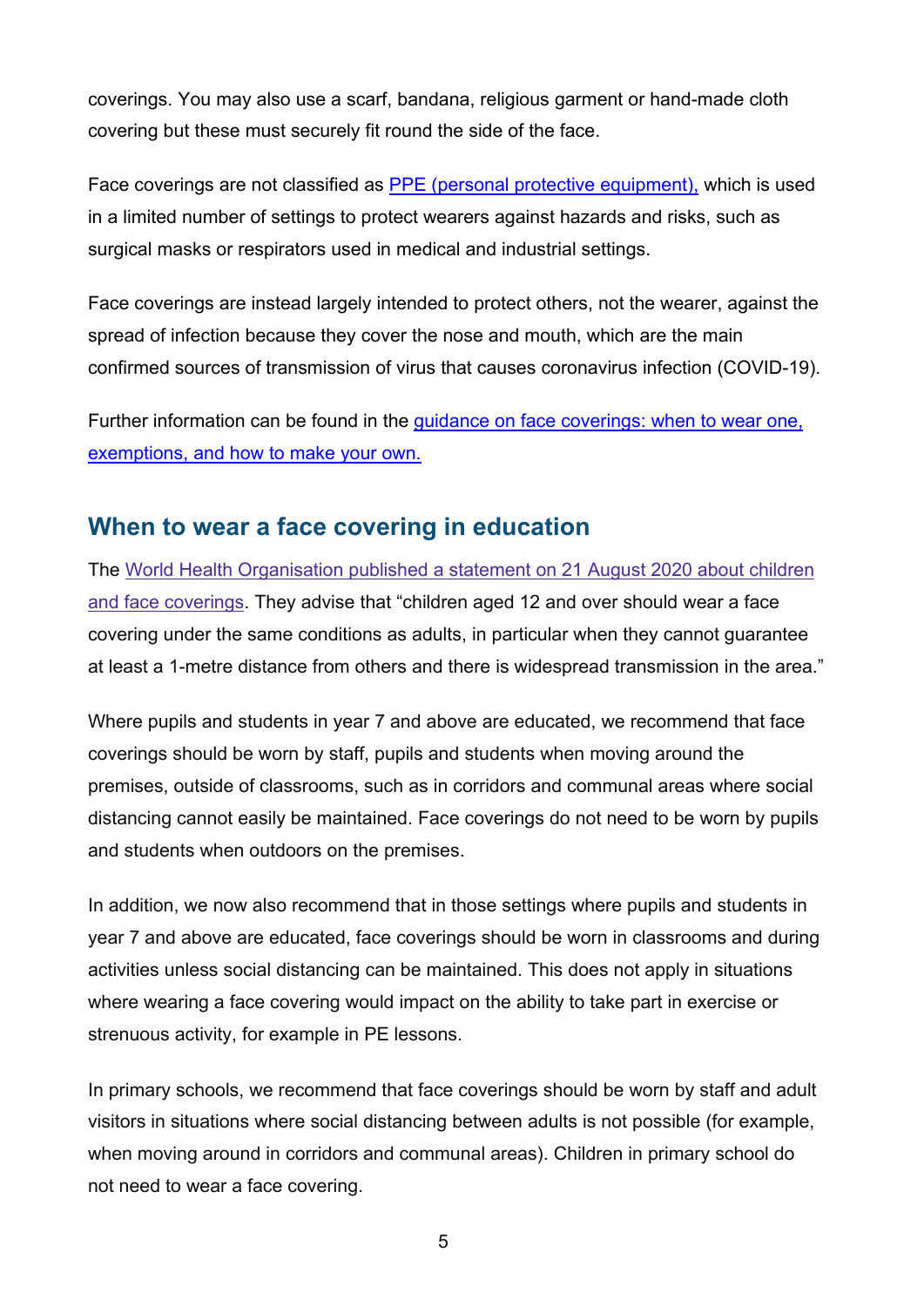coverings. You may also use a scarf, bandana, religious garment or hand-made cloth covering but these must securely fit round the side of the face.

Face coverings are not classified as [PPE \(personal protective equipment\),](https://www.gov.uk/government/publications/wuhan-novel-coronavirus-infection-prevention-and-control/covid-19-personal-protective-equipment-ppe) which is used in a limited number of settings to protect wearers against hazards and risks, such as surgical masks or respirators used in medical and industrial settings.

Face coverings are instead largely intended to protect others, not the wearer, against the spread of infection because they cover the nose and mouth, which are the main confirmed sources of transmission of virus that causes coronavirus infection (COVID-19).

Further information can be found in the [guidance on face coverings: when to wear one,](https://www.gov.uk/government/publications/face-coverings-when-to-wear-one-and-how-to-make-your-own/face-coverings-when-to-wear-one-and-how-to-make-your-own)  [exemptions, and how to make your own.](https://www.gov.uk/government/publications/face-coverings-when-to-wear-one-and-how-to-make-your-own/face-coverings-when-to-wear-one-and-how-to-make-your-own)

#### <span id="page-4-0"></span>**When to wear a face covering in education**

The World Health Organisation [published a statement](https://www.who.int/news-room/q-a-detail/q-a-children-and-masks-related-to-covid-19) on 21 August 2020 about children and face [coverings.](https://www.who.int/news-room/q-a-detail/q-a-children-and-masks-related-to-covid-19) They advise that "children aged 12 and over should wear a face covering under the same conditions as adults, in particular when they cannot guarantee at least a 1-metre distance from others and there is widespread transmission in the area."

Where pupils and students in year 7 and above are educated, we recommend that face coverings should be worn by staff, pupils and students when moving around the premises, outside of classrooms, such as in corridors and communal areas where social distancing cannot easily be maintained. Face coverings do not need to be worn by pupils and students when outdoors on the premises.

In addition, we now also recommend that in those settings where pupils and students in year 7 and above are educated, face coverings should be worn in classrooms and during activities unless social distancing can be maintained. This does not apply in situations where wearing a face covering would impact on the ability to take part in exercise or strenuous activity, for example in PE lessons.

In primary schools, we recommend that face coverings should be worn by staff and adult visitors in situations where social distancing between adults is not possible (for example, when moving around in corridors and communal areas). Children in primary school do not need to wear a face covering.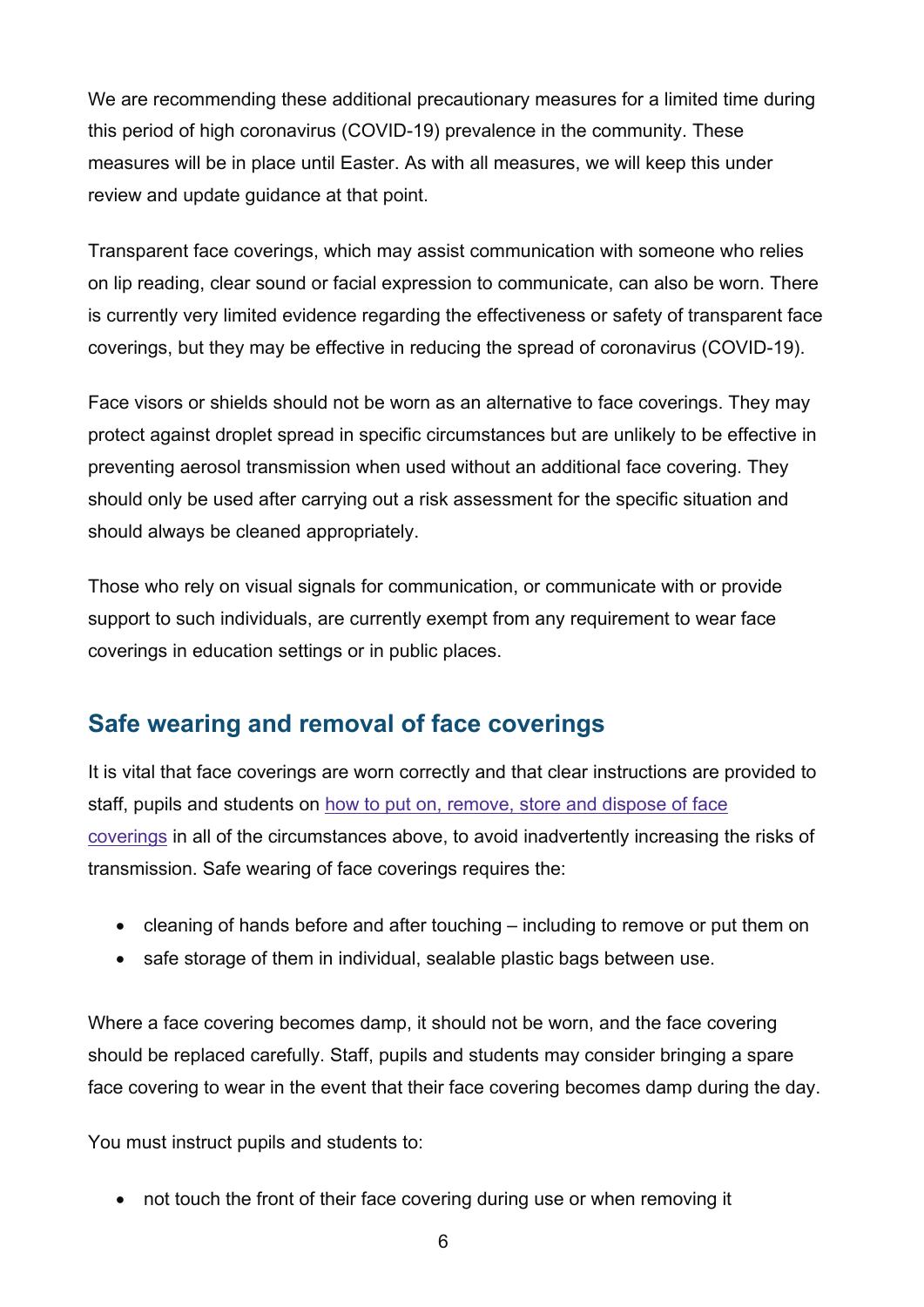We are recommending these additional precautionary measures for a limited time during this period of high coronavirus (COVID-19) prevalence in the community. These measures will be in place until Easter. As with all measures, we will keep this under review and update guidance at that point.

Transparent face coverings, which may assist communication with someone who relies on lip reading, clear sound or facial expression to communicate, can also be worn. There is currently very limited evidence regarding the effectiveness or safety of transparent face coverings, but they may be effective in reducing the spread of coronavirus (COVID-19).

Face visors or shields should not be worn as an alternative to face coverings. They may protect against droplet spread in specific circumstances but are unlikely to be effective in preventing aerosol transmission when used without an additional face covering. They should only be used after carrying out a risk assessment for the specific situation and should always be cleaned appropriately.

Those who rely on visual signals for communication, or communicate with or provide support to such individuals, are currently exempt from any requirement to wear face coverings in education settings or in public places.

## <span id="page-5-0"></span>**Safe wearing and removal of face coverings**

It is vital that face coverings are worn correctly and that clear instructions are provided to staff, pupils and students on how to put on, [remove,](https://www.gov.uk/government/publications/face-coverings-when-to-wear-one-and-how-to-make-your-own/face-coverings-when-to-wear-one-and-how-to-make-your-own) store and dispose of face [coverings](https://www.gov.uk/government/publications/face-coverings-when-to-wear-one-and-how-to-make-your-own/face-coverings-when-to-wear-one-and-how-to-make-your-own) in all of the circumstances above, to avoid inadvertently increasing the risks of transmission. Safe wearing of face coverings requires the:

- cleaning of hands before and after touching including to remove or put them on
- safe storage of them in individual, sealable plastic bags between use.

Where a face covering becomes damp, it should not be worn, and the face covering should be replaced carefully. Staff, pupils and students may consider bringing a spare face covering to wear in the event that their face covering becomes damp during the day.

You must instruct pupils and students to:

• not touch the front of their face covering during use or when removing it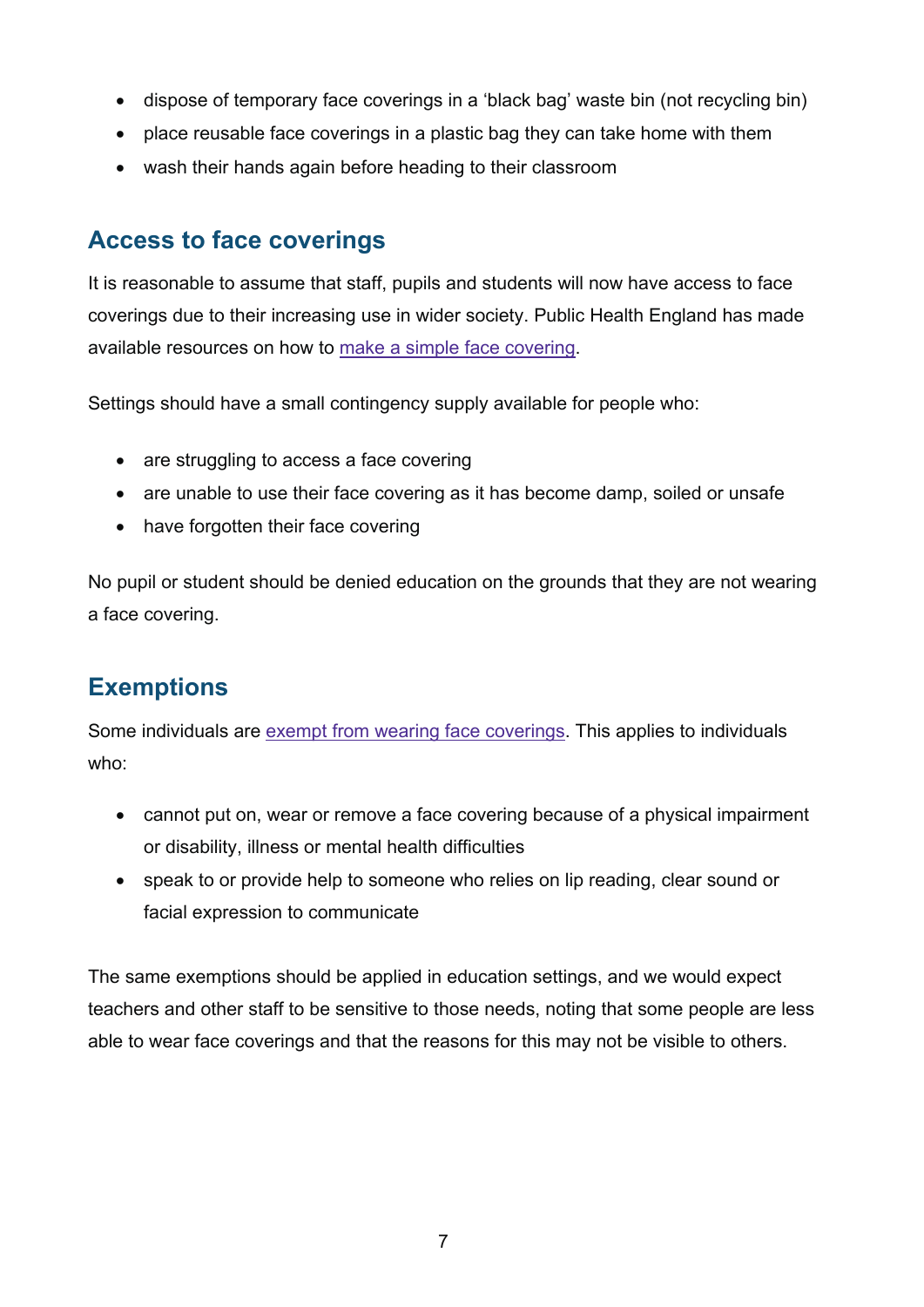- dispose of temporary face coverings in a 'black bag' waste bin (not recycling bin)
- place reusable face coverings in a plastic bag they can take home with them
- wash their hands again before heading to their classroom

### <span id="page-6-0"></span>**Access to face coverings**

It is reasonable to assume that staff, pupils and students will now have access to face coverings due to their increasing use in wider society. Public Health England has made available resources on how to [make a simple](https://www.gov.uk/government/publications/how-to-wear-and-make-a-cloth-face-covering/how-to-wear-and-make-a-cloth-face-covering) face covering.

Settings should have a small contingency supply available for people who:

- are struggling to access a face covering
- are unable to use their face covering as it has become damp, soiled or unsafe
- have forgotten their face covering

No pupil or student should be denied education on the grounds that they are not wearing a face covering.

## <span id="page-6-1"></span>**Exemptions**

Some individuals are exempt from wearing face [coverings.](https://www.gov.uk/government/publications/face-coverings-when-to-wear-one-and-how-to-make-your-own/face-coverings-when-to-wear-one-and-how-to-make-your-own) This applies to individuals who:

- cannot put on, wear or remove a face covering because of a physical impairment or disability, illness or mental health difficulties
- speak to or provide help to someone who relies on lip reading, clear sound or facial expression to communicate

The same exemptions should be applied in education settings, and we would expect teachers and other staff to be sensitive to those needs, noting that some people are less able to wear face coverings and that the reasons for this may not be visible to others.